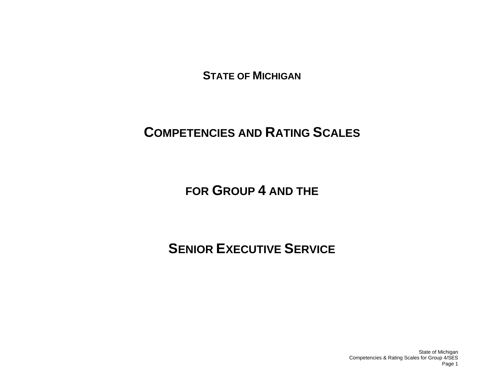**STATE OF MICHIGAN**

# **COMPETENCIES AND RATING SCALES**

**FOR GROUP 4 AND THE**

**SENIOR EXECUTIVE SERVICE** 

State of Michigan Competencies & Rating Scales for Group 4/SES Page 1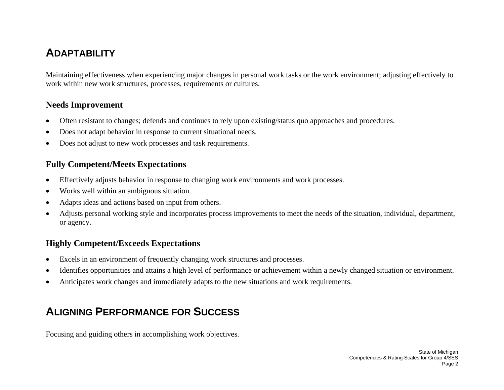## **ADAPTABILITY**

Maintaining effectiveness when experiencing major changes in personal work tasks or the work environment; adjusting effectively to work within new work structures, processes, requirements or cultures.

#### **Needs Improvement**

- •Often resistant to changes; defends and continues to rely upon existing/status quo approaches and procedures.
- •Does not adapt behavior in response to current situational needs.
- •Does not adjust to new work processes and task requirements.

#### **Fully Competent/Meets Expectations**

- •Effectively adjusts behavior in response to changing work environments and work processes.
- •Works well within an ambiguous situation.
- •Adapts ideas and actions based on input from others.
- • Adjusts personal working style and incorporates process improvements to meet the needs of the situation, individual, department, or agency.

#### **Highly Competent/Exceeds Expectations**

- •Excels in an environment of frequently changing work structures and processes.
- •Identifies opportunities and attains a high level of performance or achievement within a newly changed situation or environment.
- •Anticipates work changes and immediately adapts to the new situations and work requirements.

## **ALIGNING PERFORMANCE FOR SUCCESS**

Focusing and guiding others in accomplishing work objectives.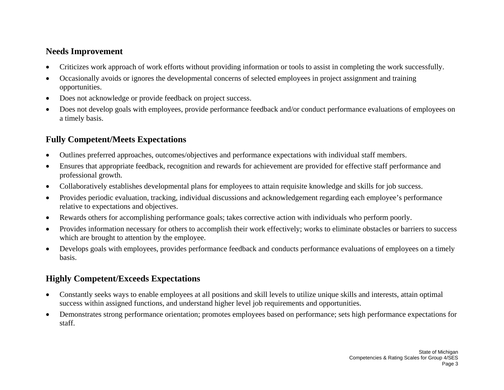#### **Needs Improvement**

- •Criticizes work approach of work efforts without providing information or tools to assist in completing the work successfully.
- • Occasionally avoids or ignores the developmental concerns of selected employees in project assignment and training opportunities.
- •Does not acknowledge or provide feedback on project success.
- • Does not develop goals with employees, provide performance feedback and/or conduct performance evaluations of employees on a timely basis.

## **Fully Competent/Meets Expectations**

- •Outlines preferred approaches, outcomes/objectives and performance expectations with individual staff members.
- • Ensures that appropriate feedback, recognition and rewards for achievement are provided for effective staff performance and professional growth.
- •Collaboratively establishes developmental plans for employees to attain requisite knowledge and skills for job success.
- • Provides periodic evaluation, tracking, individual discussions and acknowledgement regarding each employee's performance relative to expectations and objectives.
- •Rewards others for accomplishing performance goals; takes corrective action with individuals who perform poorly.
- • Provides information necessary for others to accomplish their work effectively; works to eliminate obstacles or barriers to success which are brought to attention by the employee.
- $\bullet$  Develops goals with employees, provides performance feedback and conducts performance evaluations of employees on a timely basis.

- $\bullet$  Constantly seeks ways to enable employees at all positions and skill levels to utilize unique skills and interests, attain optimal success within assigned functions, and understand higher level job requirements and opportunities.
- $\bullet$  Demonstrates strong performance orientation; promotes employees based on performance; sets high performance expectations for staff.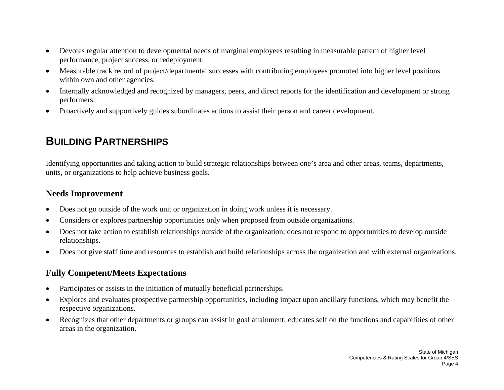- • Devotes regular attention to developmental needs of marginal employees resulting in measurable pattern of higher level performance, project success, or redeployment.
- • Measurable track record of project/departmental successes with contributing employees promoted into higher level positions within own and other agencies.
- • Internally acknowledged and recognized by managers, peers, and direct reports for the identification and development or strong performers.
- •Proactively and supportively guides subordinates actions to assist their person and career development.

## **BUILDING PARTNERSHIPS**

Identifying opportunities and taking action to build strategic relationships between one's area and other areas, teams, departments, units, or organizations to help achieve business goals.

#### **Needs Improvement**

- •Does not go outside of the work unit or organization in doing work unless it is necessary.
- •Considers or explores partnership opportunities only when proposed from outside organizations.
- • Does not take action to establish relationships outside of the organization; does not respond to opportunities to develop outside relationships.
- •Does not give staff time and resources to establish and build relationships across the organization and with external organizations.

## **Fully Competent/Meets Expectations**

- •Participates or assists in the initiation of mutually beneficial partnerships.
- • Explores and evaluates prospective partnership opportunities, including impact upon ancillary functions, which may benefit the respective organizations.
- $\bullet$  Recognizes that other departments or groups can assist in goal attainment; educates self on the functions and capabilities of other areas in the organization.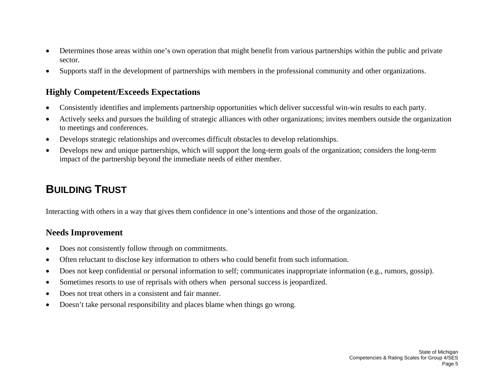- $\bullet$  Determines those areas within one's own operation that might benefit from various partnerships within the public and private sector.
- •Supports staff in the development of partnerships with members in the professional community and other organizations.

#### **Highly Competent/Exceeds Expectations**

- •Consistently identifies and implements partnership opportunities which deliver successful win-win results to each party.
- • Actively seeks and pursues the building of strategic alliances with other organizations; invites members outside the organization to meetings and conferences.
- •Develops strategic relationships and overcomes difficult obstacles to develop relationships.
- • Develops new and unique partnerships, which will support the long-term goals of the organization; considers the long-term impact of the partnership beyond the immediate needs of either member.

## **BUILDING TRUST**

Interacting with others in a way that gives them confidence in one's intentions and those of the organization.

- •Does not consistently follow through on commitments.
- •Often reluctant to disclose key information to others who could benefit from such information.
- •Does not keep confidential or personal information to self; communicates inappropriate information (e.g., rumors, gossip).
- •Sometimes resorts to use of reprisals with others when personal success is jeopardized.
- •Does not treat others in a consistent and fair manner.
- •Doesn't take personal responsibility and places blame when things go wrong.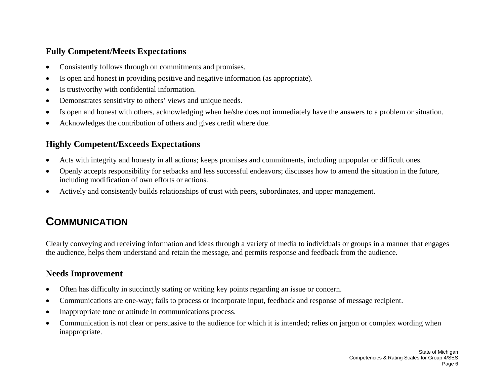#### **Fully Competent/Meets Expectations**

- •Consistently follows through on commitments and promises.
- •Is open and honest in providing positive and negative information (as appropriate).
- •Is trustworthy with confidential information.
- •Demonstrates sensitivity to others' views and unique needs.
- •Is open and honest with others, acknowledging when he/she does not immediately have the answers to a problem or situation.
- •Acknowledges the contribution of others and gives credit where due.

## **Highly Competent/Exceeds Expectations**

- •Acts with integrity and honesty in all actions; keeps promises and commitments, including unpopular or difficult ones.
- • Openly accepts responsibility for setbacks and less successful endeavors; discusses how to amend the situation in the future, including modification of own efforts or actions.
- •Actively and consistently builds relationships of trust with peers, subordinates, and upper management.

# **COMMUNICATION**

Clearly conveying and receiving information and ideas through a variety of media to individuals or groups in a manner that engages the audience, helps them understand and retain the message, and permits response and feedback from the audience.

- •Often has difficulty in succinctly stating or writing key points regarding an issue or concern.
- •Communications are one-way; fails to process or incorporate input, feedback and response of message recipient.
- •Inappropriate tone or attitude in communications process.
- • Communication is not clear or persuasive to the audience for which it is intended; relies on jargon or complex wording when inappropriate.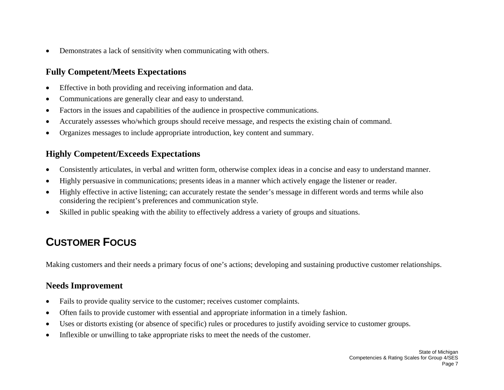$\bullet$ Demonstrates a lack of sensitivity when communicating with others.

### **Fully Competent/Meets Expectations**

- •Effective in both providing and receiving information and data.
- •Communications are generally clear and easy to understand.
- •Factors in the issues and capabilities of the audience in prospective communications.
- •Accurately assesses who/which groups should receive message, and respects the existing chain of command.
- •Organizes messages to include appropriate introduction, key content and summary.

### **Highly Competent/Exceeds Expectations**

- •Consistently articulates, in verbal and written form, otherwise complex ideas in a concise and easy to understand manner.
- •Highly persuasive in communications; presents ideas in a manner which actively engage the listener or reader.
- • Highly effective in active listening; can accurately restate the sender's message in different words and terms while also considering the recipient's preferences and communication style.
- $\bullet$ Skilled in public speaking with the ability to effectively address a variety of groups and situations.

# **CUSTOMER FOCUS**

Making customers and their needs a primary focus of one's actions; developing and sustaining productive customer relationships.

- •Fails to provide quality service to the customer; receives customer complaints.
- •Often fails to provide customer with essential and appropriate information in a timely fashion.
- •Uses or distorts existing (or absence of specific) rules or procedures to justify avoiding service to customer groups.
- •Inflexible or unwilling to take appropriate risks to meet the needs of the customer.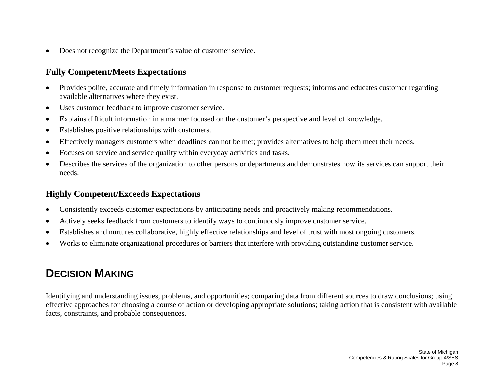$\bullet$ Does not recognize the Department's value of customer service.

#### **Fully Competent/Meets Expectations**

- • Provides polite, accurate and timely information in response to customer requests; informs and educates customer regarding available alternatives where they exist.
- •Uses customer feedback to improve customer service.
- •Explains difficult information in a manner focused on the customer's perspective and level of knowledge.
- •Establishes positive relationships with customers.
- •Effectively managers customers when deadlines can not be met; provides alternatives to help them meet their needs.
- •Focuses on service and service quality within everyday activities and tasks.
- • Describes the services of the organization to other persons or departments and demonstrates how its services can support their needs.

## **Highly Competent/Exceeds Expectations**

- •Consistently exceeds customer expectations by anticipating needs and proactively making recommendations.
- •Actively seeks feedback from customers to identify ways to continuously improve customer service.
- •Establishes and nurtures collaborative, highly effective relationships and level of trust with most ongoing customers.
- $\bullet$ Works to eliminate organizational procedures or barriers that interfere with providing outstanding customer service.

# **DECISION MAKING**

Identifying and understanding issues, problems, and opportunities; comparing data from different sources to draw conclusions; using effective approaches for choosing a course of action or developing appropriate solutions; taking action that is consistent with available facts, constraints, and probable consequences.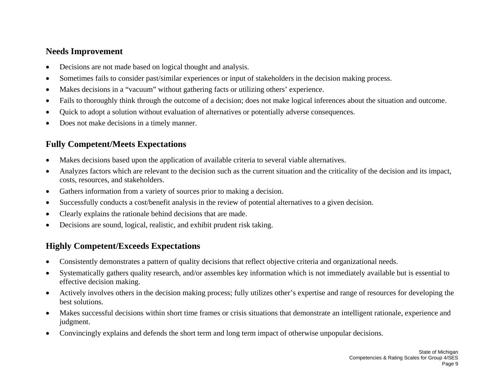#### **Needs Improvement**

- •Decisions are not made based on logical thought and analysis.
- •Sometimes fails to consider past/similar experiences or input of stakeholders in the decision making process.
- •Makes decisions in a "vacuum" without gathering facts or utilizing others' experience.
- •Fails to thoroughly think through the outcome of a decision; does not make logical inferences about the situation and outcome.
- •Quick to adopt a solution without evaluation of alternatives or potentially adverse consequences.
- •Does not make decisions in a timely manner.

## **Fully Competent/Meets Expectations**

- $\bullet$ Makes decisions based upon the application of available criteria to several viable alternatives.
- • Analyzes factors which are relevant to the decision such as the current situation and the criticality of the decision and its impact, costs, resources, and stakeholders.
- $\bullet$ Gathers information from a variety of sources prior to making a decision.
- •Successfully conducts a cost/benefit analysis in the review of potential alternatives to a given decision.
- •Clearly explains the rationale behind decisions that are made.
- •Decisions are sound, logical, realistic, and exhibit prudent risk taking.

- •Consistently demonstrates a pattern of quality decisions that reflect objective criteria and organizational needs.
- • Systematically gathers quality research, and/or assembles key information which is not immediately available but is essential to effective decision making.
- • Actively involves others in the decision making process; fully utilizes other's expertise and range of resources for developing the best solutions.
- • Makes successful decisions within short time frames or crisis situations that demonstrate an intelligent rationale, experience and judgment.
- •Convincingly explains and defends the short term and long term impact of otherwise unpopular decisions.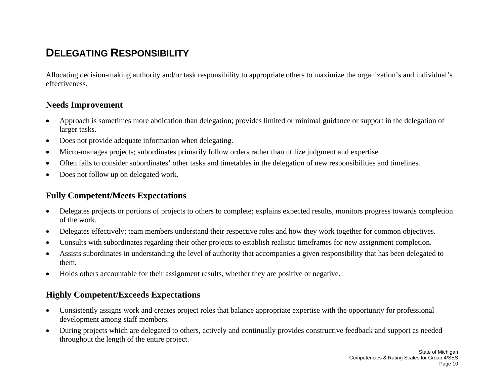## **DELEGATING RESPONSIBILITY**

Allocating decision-making authority and/or task responsibility to appropriate others to maximize the organization's and individual's effectiveness.

#### **Needs Improvement**

- • Approach is sometimes more abdication than delegation; provides limited or minimal guidance or support in the delegation of larger tasks.
- •Does not provide adequate information when delegating.
- •Micro-manages projects; subordinates primarily follow orders rather than utilize judgment and expertise.
- •Often fails to consider subordinates' other tasks and timetables in the delegation of new responsibilities and timelines.
- •Does not follow up on delegated work.

#### **Fully Competent/Meets Expectations**

- $\bullet$  Delegates projects or portions of projects to others to complete; explains expected results, monitors progress towards completion of the work.
- •Delegates effectively; team members understand their respective roles and how they work together for common objectives.
- •Consults with subordinates regarding their other projects to establish realistic timeframes for new assignment completion.
- • Assists subordinates in understanding the level of authority that accompanies a given responsibility that has been delegated to them.
- •Holds others accountable for their assignment results, whether they are positive or negative.

- • Consistently assigns work and creates project roles that balance appropriate expertise with the opportunity for professional development among staff members.
- $\bullet$  During projects which are delegated to others, actively and continually provides constructive feedback and support as needed throughout the length of the entire project.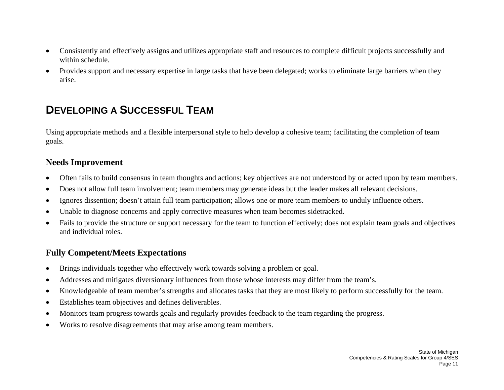- • Consistently and effectively assigns and utilizes appropriate staff and resources to complete difficult projects successfully and within schedule.
- $\bullet$  Provides support and necessary expertise in large tasks that have been delegated; works to eliminate large barriers when they arise.

## **DEVELOPING A SUCCESSFUL TEAM**

Using appropriate methods and a flexible interpersonal style to help develop a cohesive team; facilitating the completion of team goals.

#### **Needs Improvement**

- •Often fails to build consensus in team thoughts and actions; key objectives are not understood by or acted upon by team members.
- •Does not allow full team involvement; team members may generate ideas but the leader makes all relevant decisions.
- •Ignores dissention; doesn't attain full team participation; allows one or more team members to unduly influence others.
- •Unable to diagnose concerns and apply corrective measures when team becomes sidetracked.
- • Fails to provide the structure or support necessary for the team to function effectively; does not explain team goals and objectives and individual roles.

#### **Fully Competent/Meets Expectations**

- •Brings individuals together who effectively work towards solving a problem or goal.
- •Addresses and mitigates diversionary influences from those whose interests may differ from the team's.
- •Knowledgeable of team member's strengths and allocates tasks that they are most likely to perform successfully for the team.
- •Establishes team objectives and defines deliverables.
- •Monitors team progress towards goals and regularly provides feedback to the team regarding the progress.
- •Works to resolve disagreements that may arise among team members.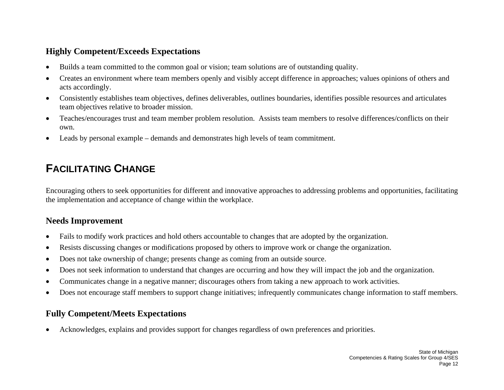#### **Highly Competent/Exceeds Expectations**

- •Builds a team committed to the common goal or vision; team solutions are of outstanding quality.
- • Creates an environment where team members openly and visibly accept difference in approaches; values opinions of others and acts accordingly.
- • Consistently establishes team objectives, defines deliverables, outlines boundaries, identifies possible resources and articulates team objectives relative to broader mission.
- • Teaches/encourages trust and team member problem resolution. Assists team members to resolve differences/conflicts on their own.
- •Leads by personal example – demands and demonstrates high levels of team commitment.

# **FACILITATING CHANGE**

Encouraging others to seek opportunities for different and innovative approaches to addressing problems and opportunities, facilitating the implementation and acceptance of change within the workplace.

## **Needs Improvement**

- •Fails to modify work practices and hold others accountable to changes that are adopted by the organization.
- •Resists discussing changes or modifications proposed by others to improve work or change the organization.
- •Does not take ownership of change; presents change as coming from an outside source.
- •Does not seek information to understand that changes are occurring and how they will impact the job and the organization.
- •Communicates change in a negative manner; discourages others from taking a new approach to work activities.
- •Does not encourage staff members to support change initiatives; infrequently communicates change information to staff members.

## **Fully Competent/Meets Expectations**

•Acknowledges, explains and provides support for changes regardless of own preferences and priorities.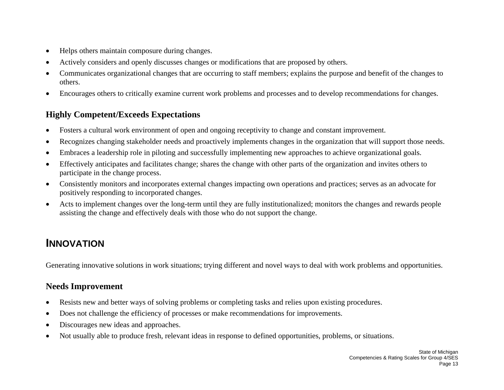- $\bullet$ Helps others maintain composure during changes.
- •Actively considers and openly discusses changes or modifications that are proposed by others.
- • Communicates organizational changes that are occurring to staff members; explains the purpose and benefit of the changes to others.
- •Encourages others to critically examine current work problems and processes and to develop recommendations for changes.

## **Highly Competent/Exceeds Expectations**

- •Fosters a cultural work environment of open and ongoing receptivity to change and constant improvement.
- •Recognizes changing stakeholder needs and proactively implements changes in the organization that will support those needs.
- •Embraces a leadership role in piloting and successfully implementing new approaches to achieve organizational goals.
- • Effectively anticipates and facilitates change; shares the change with other parts of the organization and invites others to participate in the change process.
- • Consistently monitors and incorporates external changes impacting own operations and practices; serves as an advocate for positively responding to incorporated changes.
- • Acts to implement changes over the long-term until they are fully institutionalized; monitors the changes and rewards people assisting the change and effectively deals with those who do not support the change.

## **INNOVATION**

Generating innovative solutions in work situations; trying different and novel ways to deal with work problems and opportunities.

- •Resists new and better ways of solving problems or completing tasks and relies upon existing procedures.
- •Does not challenge the efficiency of processes or make recommendations for improvements.
- •Discourages new ideas and approaches.
- $\bullet$ Not usually able to produce fresh, relevant ideas in response to defined opportunities, problems, or situations.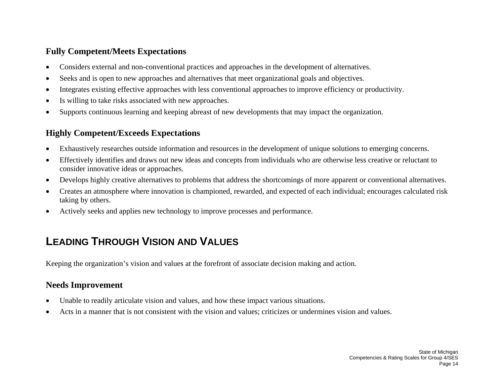#### **Fully Competent/Meets Expectations**

- •Considers external and non-conventional practices and approaches in the development of alternatives.
- •Seeks and is open to new approaches and alternatives that meet organizational goals and objectives.
- •Integrates existing effective approaches with less conventional approaches to improve efficiency or productivity.
- •Is willing to take risks associated with new approaches.
- •Supports continuous learning and keeping abreast of new developments that may impact the organization.

## **Highly Competent/Exceeds Expectations**

- •Exhaustively researches outside information and resources in the development of unique solutions to emerging concerns.
- • Effectively identifies and draws out new ideas and concepts from individuals who are otherwise less creative or reluctant to consider innovative ideas or approaches.
- •Develops highly creative alternatives to problems that address the shortcomings of more apparent or conventional alternatives.
- • Creates an atmosphere where innovation is championed, rewarded, and expected of each individual; encourages calculated risk taking by others.
- •Actively seeks and applies new technology to improve processes and performance.

# **LEADING THROUGH VISION AND VALUES**

Keeping the organization's vision and values at the forefront of associate decision making and action.

- •Unable to readily articulate vision and values, and how these impact various situations.
- •Acts in a manner that is not consistent with the vision and values; criticizes or undermines vision and values.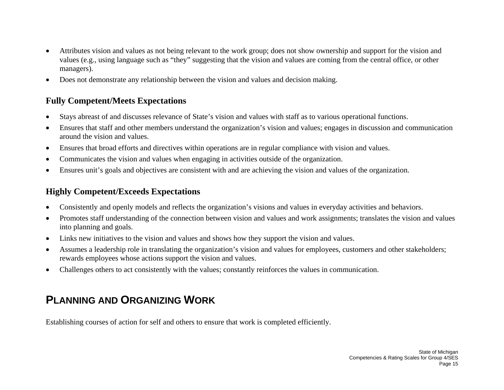- • Attributes vision and values as not being relevant to the work group; does not show ownership and support for the vision and values (e.g., using language such as "they" suggesting that the vision and values are coming from the central office, or other managers).
- •Does not demonstrate any relationship between the vision and values and decision making.

### **Fully Competent/Meets Expectations**

- •Stays abreast of and discusses relevance of State's vision and values with staff as to various operational functions.
- • Ensures that staff and other members understand the organization's vision and values; engages in discussion and communication around the vision and values.
- •Ensures that broad efforts and directives within operations are in regular compliance with vision and values.
- •Communicates the vision and values when engaging in activities outside of the organization.
- $\bullet$ Ensures unit's goals and objectives are consistent with and are achieving the vision and values of the organization.

### **Highly Competent/Exceeds Expectations**

- •Consistently and openly models and reflects the organization's visions and values in everyday activities and behaviors.
- • Promotes staff understanding of the connection between vision and values and work assignments; translates the vision and values into planning and goals.
- •Links new initiatives to the vision and values and shows how they support the vision and values.
- • Assumes a leadership role in translating the organization's vision and values for employees, customers and other stakeholders; rewards employees whose actions support the vision and values.
- $\bullet$ Challenges others to act consistently with the values; constantly reinforces the values in communication.

# **PLANNING AND ORGANIZING WORK**

Establishing courses of action for self and others to ensure that work is completed efficiently.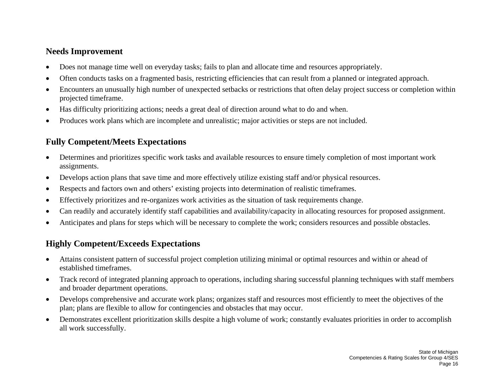#### **Needs Improvement**

- •Does not manage time well on everyday tasks; fails to plan and allocate time and resources appropriately.
- •Often conducts tasks on a fragmented basis, restricting efficiencies that can result from a planned or integrated approach.
- • Encounters an unusually high number of unexpected setbacks or restrictions that often delay project success or completion within projected timeframe.
- •Has difficulty prioritizing actions; needs a great deal of direction around what to do and when.
- •Produces work plans which are incomplete and unrealistic; major activities or steps are not included.

## **Fully Competent/Meets Expectations**

- $\bullet$  Determines and prioritizes specific work tasks and available resources to ensure timely completion of most important work assignments.
- •Develops action plans that save time and more effectively utilize existing staff and/or physical resources.
- •Respects and factors own and others' existing projects into determination of realistic timeframes.
- •Effectively prioritizes and re-organizes work activities as the situation of task requirements change.
- •Can readily and accurately identify staff capabilities and availability/capacity in allocating resources for proposed assignment.
- •Anticipates and plans for steps which will be necessary to complete the work; considers resources and possible obstacles.

- $\bullet$  Attains consistent pattern of successful project completion utilizing minimal or optimal resources and within or ahead of established timeframes.
- $\bullet$  Track record of integrated planning approach to operations, including sharing successful planning techniques with staff members and broader department operations.
- $\bullet$  Develops comprehensive and accurate work plans; organizes staff and resources most efficiently to meet the objectives of the plan; plans are flexible to allow for contingencies and obstacles that may occur.
- $\bullet$  Demonstrates excellent prioritization skills despite a high volume of work; constantly evaluates priorities in order to accomplish all work successfully.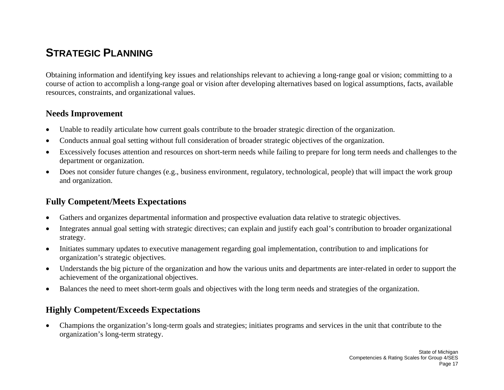## **STRATEGIC PI ANNING**

Obtaining information and identifying key issues and relationships relevant to achieving a long-range goal or vision; committing to a course of action to accomplish a long-range goal or vision after developing alternatives based on logical assumptions, facts, available resources, constraints, and organizational values.

#### **Needs Improvement**

- •Unable to readily articulate how current goals contribute to the broader strategic direction of the organization.
- •Conducts annual goal setting without full consideration of broader strategic objectives of the organization.
- • Excessively focuses attention and resources on short-term needs while failing to prepare for long term needs and challenges to the department or organization.
- • Does not consider future changes (e.g., business environment, regulatory, technological, people) that will impact the work group and organization.

## **Fully Competent/Meets Expectations**

- •Gathers and organizes departmental information and prospective evaluation data relative to strategic objectives.
- • Integrates annual goal setting with strategic directives; can explain and justify each goal's contribution to broader organizational strategy.
- • Initiates summary updates to executive management regarding goal implementation, contribution to and implications for organization's strategic objectives.
- $\bullet$  Understands the big picture of the organization and how the various units and departments are inter-related in order to support the achievement of the organizational objectives.
- $\bullet$ Balances the need to meet short-term goals and objectives with the long term needs and strategies of the organization.

### **Highly Competent/Exceeds Expectations**

 $\bullet$  Champions the organization's long-term goals and strategies; initiates programs and services in the unit that contribute to the organization's long-term strategy.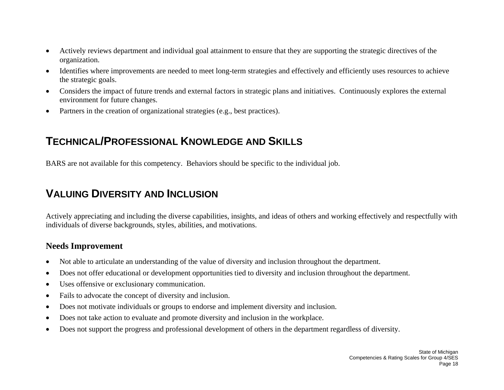- • Actively reviews department and individual goal attainment to ensure that they are supporting the strategic directives of the organization.
- • Identifies where improvements are needed to meet long-term strategies and effectively and efficiently uses resources to achieve the strategic goals.
- $\bullet$  Considers the impact of future trends and external factors in strategic plans and initiatives. Continuously explores the external environment for future changes.
- •Partners in the creation of organizational strategies (e.g., best practices).

## **TECHNICAL/PROFESSIONAL KNOWLEDGE AND SKILLS**

BARS are not available for this competency. Behaviors should be specific to the individual job.

## **VALUING DIVERSITY AND INCLUSION**

Actively appreciating and including the diverse capabilities, insights, and ideas of others and working effectively and respectfully with individuals of diverse backgrounds, styles, abilities, and motivations.

- •Not able to articulate an understanding of the value of diversity and inclusion throughout the department.
- •Does not offer educational or development opportunities tied to diversity and inclusion throughout the department.
- •Uses offensive or exclusionary communication.
- •Fails to advocate the concept of diversity and inclusion.
- •Does not motivate individuals or groups to endorse and implement diversity and inclusion.
- •Does not take action to evaluate and promote diversity and inclusion in the workplace.
- •Does not support the progress and professional development of others in the department regardless of diversity.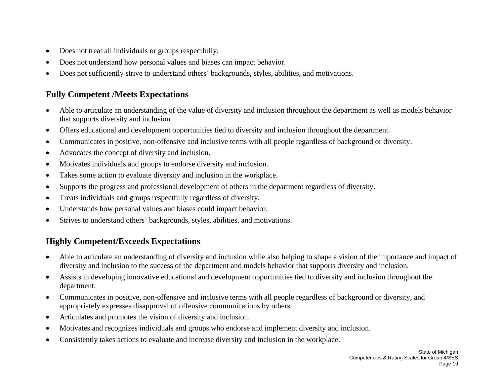- $\bullet$ Does not treat all individuals or groups respectfully.
- •Does not understand how personal values and biases can impact behavior.
- •Does not sufficiently strive to understand others' backgrounds, styles, abilities, and motivations.

### **Fully Competent /Meets Expectations**

- • Able to articulate an understanding of the value of diversity and inclusion throughout the department as well as models behavior that supports diversity and inclusion.
- •Offers educational and development opportunities tied to diversity and inclusion throughout the department.
- •Communicates in positive, non-offensive and inclusive terms with all people regardless of background or diversity.
- •Advocates the concept of diversity and inclusion.
- •Motivates individuals and groups to endorse diversity and inclusion.
- •Takes some action to evaluate diversity and inclusion in the workplace.
- •Supports the progress and professional development of others in the department regardless of diversity.
- •Treats individuals and groups respectfully regardless of diversity.
- •Understands how personal values and biases could impact behavior.
- •Strives to understand others' backgrounds, styles, abilities, and motivations.

- • Able to articulate an understanding of diversity and inclusion while also helping to shape a vision of the importance and impact of diversity and inclusion to the success of the department and models behavior that supports diversity and inclusion.
- • Assists in developing innovative educational and development opportunities tied to diversity and inclusion throughout the department.
- $\bullet$  Communicates in positive, non-offensive and inclusive terms with all people regardless of background or diversity, and appropriately expresses disapproval of offensive communications by others.
- •Articulates and promotes the vision of diversity and inclusion.
- •Motivates and recognizes individuals and groups who endorse and implement diversity and inclusion.
- •Consistently takes actions to evaluate and increase diversity and inclusion in the workplace.